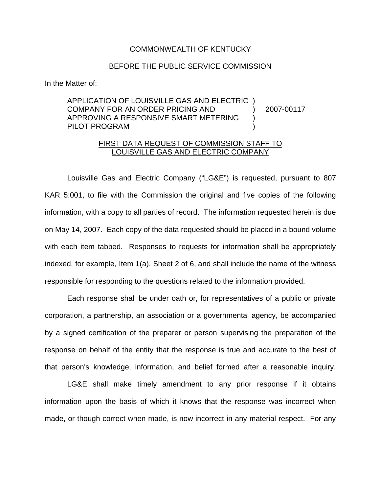## COMMONWEALTH OF KENTUCKY

## BEFORE THE PUBLIC SERVICE COMMISSION

In the Matter of:

## APPLICATION OF LOUISVILLE GAS AND ELECTRIC ) COMPANY FOR AN ORDER PRICING AND ) 2007-00117 APPROVING A RESPONSIVE SMART METERING ) PILOT PROGRAM

## FIRST DATA REQUEST OF COMMISSION STAFF TO LOUISVILLE GAS AND ELECTRIC COMPANY

Louisville Gas and Electric Company ("LG&E") is requested, pursuant to 807 KAR 5:001, to file with the Commission the original and five copies of the following information, with a copy to all parties of record. The information requested herein is due on May 14, 2007. Each copy of the data requested should be placed in a bound volume with each item tabbed. Responses to requests for information shall be appropriately indexed, for example, Item 1(a), Sheet 2 of 6, and shall include the name of the witness responsible for responding to the questions related to the information provided.

Each response shall be under oath or, for representatives of a public or private corporation, a partnership, an association or a governmental agency, be accompanied by a signed certification of the preparer or person supervising the preparation of the response on behalf of the entity that the response is true and accurate to the best of that person's knowledge, information, and belief formed after a reasonable inquiry.

LG&E shall make timely amendment to any prior response if it obtains information upon the basis of which it knows that the response was incorrect when made, or though correct when made, is now incorrect in any material respect. For any